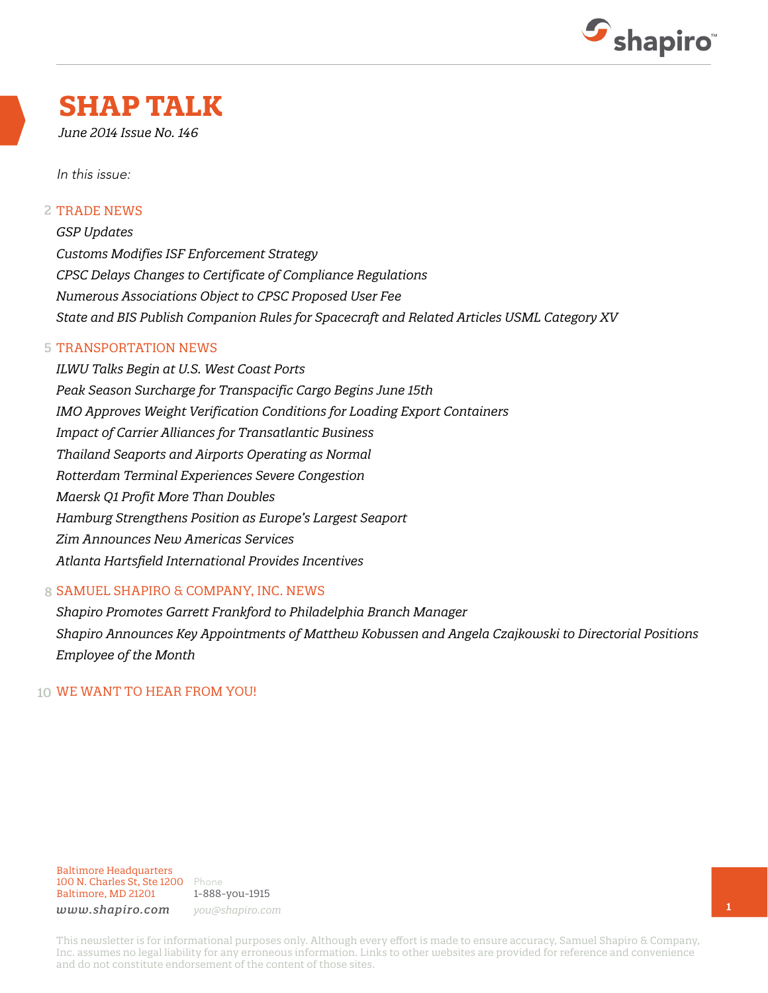

## **SHAP TALK**

*June 2014 Issue No. 146*

In this issue:

#### 2 TRADE NEWS

*GSP Updates Customs Modifies ISF Enforcement Strategy CPSC Delays Changes to Certificate of Compliance Regulations Numerous Associations Object to CPSC Proposed User Fee State and BIS Publish Companion Rules for Spacecraft and Related Articles USML Category XV*

#### 5 TRANSPORTATION NEWS

*ILWU Talks Begin at U.S. West Coast Ports Peak Season Surcharge for Transpacific Cargo Begins June 15th IMO Approves Weight Verification Conditions for Loading Export Containers Impact of Carrier Alliances for Transatlantic Business Thailand Seaports and Airports Operating as Normal Rotterdam Terminal Experiences Severe Congestion Maersk Q1 Profit More Than Doubles Hamburg Strengthens Position as Europe's Largest Seaport Zim Announces New Americas Services Atlanta Hartsfield International Provides Incentives*

#### 8 SAMUEL SHAPIRO & COMPANY, INC. NEWS

*Shapiro Promotes Garrett Frankford to Philadelphia Branch Manager Shapiro Announces Key Appointments of Matthew Kobussen and Angela Czajkowski to Directorial Positions Employee of the Month*

#### 10 WE WANT TO HEAR FROM YOU!

Baltimore Headquarters 100 N. Charles St, Ste 1200 Phone Baltimore, MD 21201

1-888-you-1915 *www.shapiro.com you@shapiro.com*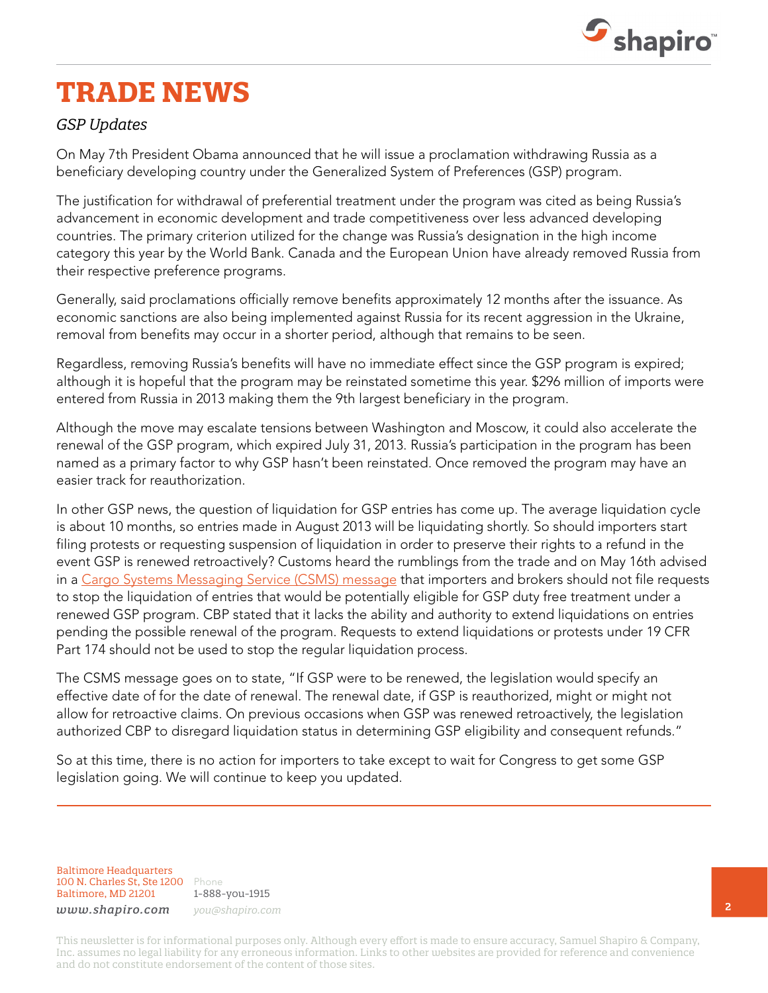

# **TRADE NEWS**

#### *GSP Updates*

On May 7th President Obama announced that he will issue a proclamation withdrawing Russia as a beneficiary developing country under the Generalized System of Preferences (GSP) program.

The justification for withdrawal of preferential treatment under the program was cited as being Russia's advancement in economic development and trade competitiveness over less advanced developing countries. The primary criterion utilized for the change was Russia's designation in the high income category this year by the World Bank. Canada and the European Union have already removed Russia from their respective preference programs.

Generally, said proclamations officially remove benefits approximately 12 months after the issuance. As economic sanctions are also being implemented against Russia for its recent aggression in the Ukraine, removal from benefits may occur in a shorter period, although that remains to be seen.

Regardless, removing Russia's benefits will have no immediate effect since the GSP program is expired; although it is hopeful that the program may be reinstated sometime this year. \$296 million of imports were entered from Russia in 2013 making them the 9th largest beneficiary in the program.

Although the move may escalate tensions between Washington and Moscow, it could also accelerate the renewal of the GSP program, which expired July 31, 2013. Russia's participation in the program has been named as a primary factor to why GSP hasn't been reinstated. Once removed the program may have an easier track for reauthorization.

In other GSP news, the question of liquidation for GSP entries has come up. The average liquidation cycle is about 10 months, so entries made in August 2013 will be liquidating shortly. So should importers start filing protests or requesting suspension of liquidation in order to preserve their rights to a refund in the event GSP is renewed retroactively? Customs heard the rumblings from the trade and on May 16th advised in a [Cargo Systems Messaging Service \(CSMS\) message](http://1.usa.gov/1nKXxrX) that importers and brokers should not file requests to stop the liquidation of entries that would be potentially eligible for GSP duty free treatment under a renewed GSP program. CBP stated that it lacks the ability and authority to extend liquidations on entries pending the possible renewal of the program. Requests to extend liquidations or protests under 19 CFR Part 174 should not be used to stop the regular liquidation process.

The CSMS message goes on to state, "If GSP were to be renewed, the legislation would specify an effective date of for the date of renewal. The renewal date, if GSP is reauthorized, might or might not allow for retroactive claims. On previous occasions when GSP was renewed retroactively, the legislation authorized CBP to disregard liquidation status in determining GSP eligibility and consequent refunds."

So at this time, there is no action for importers to take except to wait for Congress to get some GSP legislation going. We will continue to keep you updated.

Baltimore Headquarters 100 N. Charles St, Ste 1200 Phone Baltimore, MD 21201

1-888-you-1915 *www.shapiro.com you@shapiro.com*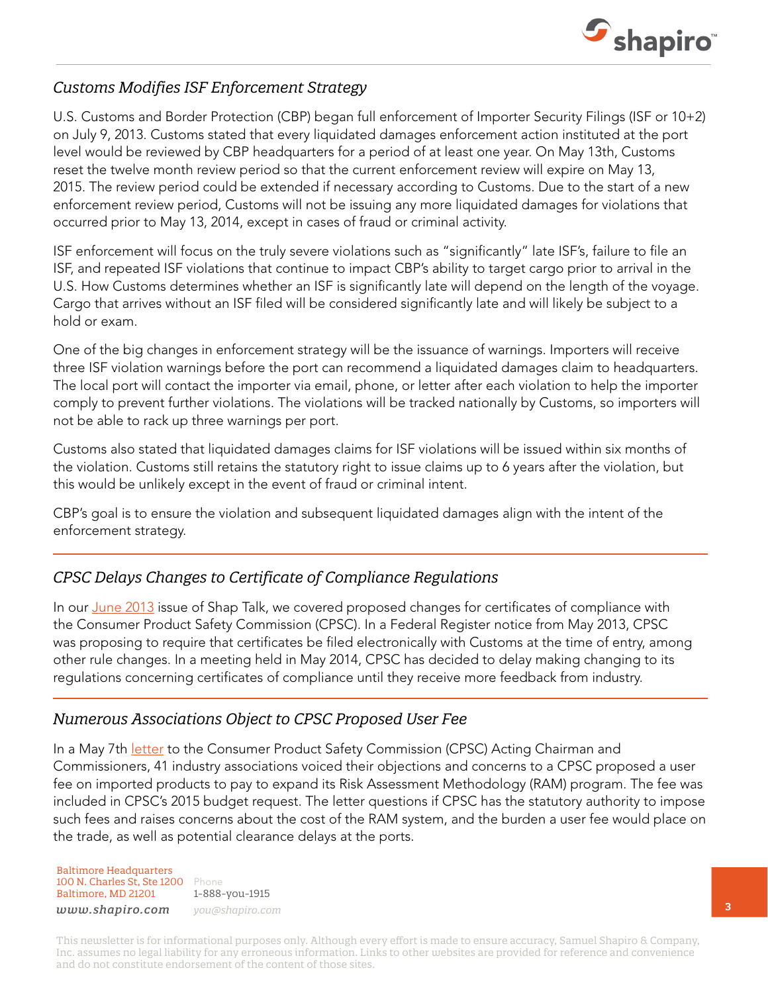

#### *Customs Modifies ISF Enforcement Strategy*

U.S. Customs and Border Protection (CBP) began full enforcement of Importer Security Filings (ISF or 10+2) on July 9, 2013. Customs stated that every liquidated damages enforcement action instituted at the port level would be reviewed by CBP headquarters for a period of at least one year. On May 13th, Customs reset the twelve month review period so that the current enforcement review will expire on May 13, 2015. The review period could be extended if necessary according to Customs. Due to the start of a new enforcement review period, Customs will not be issuing any more liquidated damages for violations that occurred prior to May 13, 2014, except in cases of fraud or criminal activity.

ISF enforcement will focus on the truly severe violations such as "significantly" late ISF's, failure to file an ISF, and repeated ISF violations that continue to impact CBP's ability to target cargo prior to arrival in the U.S. How Customs determines whether an ISF is significantly late will depend on the length of the voyage. Cargo that arrives without an ISF filed will be considered significantly late and will likely be subject to a hold or exam.

One of the big changes in enforcement strategy will be the issuance of warnings. Importers will receive three ISF violation warnings before the port can recommend a liquidated damages claim to headquarters. The local port will contact the importer via email, phone, or letter after each violation to help the importer comply to prevent further violations. The violations will be tracked nationally by Customs, so importers will not be able to rack up three warnings per port.

Customs also stated that liquidated damages claims for ISF violations will be issued within six months of the violation. Customs still retains the statutory right to issue claims up to 6 years after the violation, but this would be unlikely except in the event of fraud or criminal intent.

CBP's goal is to ensure the violation and subsequent liquidated damages align with the intent of the enforcement strategy.

### *CPSC Delays Changes to Certificate of Compliance Regulations*

In our [June 2013](http://www.shapiro.com/newsletters/june-2013-issue-134/) issue of Shap Talk, we covered proposed changes for certificates of compliance with the Consumer Product Safety Commission (CPSC). In a Federal Register notice from May 2013, CPSC was proposing to require that certificates be filed electronically with Customs at the time of entry, among other rule changes. In a meeting held in May 2014, CPSC has decided to delay making changing to its regulations concerning certificates of compliance until they receive more feedback from industry.

### *Numerous Associations Object to CPSC Proposed User Fee*

In a May 7th *letter* to the Consumer Product Safety Commission (CPSC) Acting Chairman and Commissioners, 41 industry associations voiced their objections and concerns to a CPSC proposed a user fee on imported products to pay to expand its Risk Assessment Methodology (RAM) program. The fee was included in CPSC's 2015 budget request. The letter questions if CPSC has the statutory authority to impose such fees and raises concerns about the cost of the RAM system, and the burden a user fee would place on the trade, as well as potential clearance delays at the ports.

Baltimore Headquarters 100 N. Charles St, Ste 1200 Phone Baltimore, MD 21201

1-888-you-1915 *www.shapiro.com you@shapiro.com*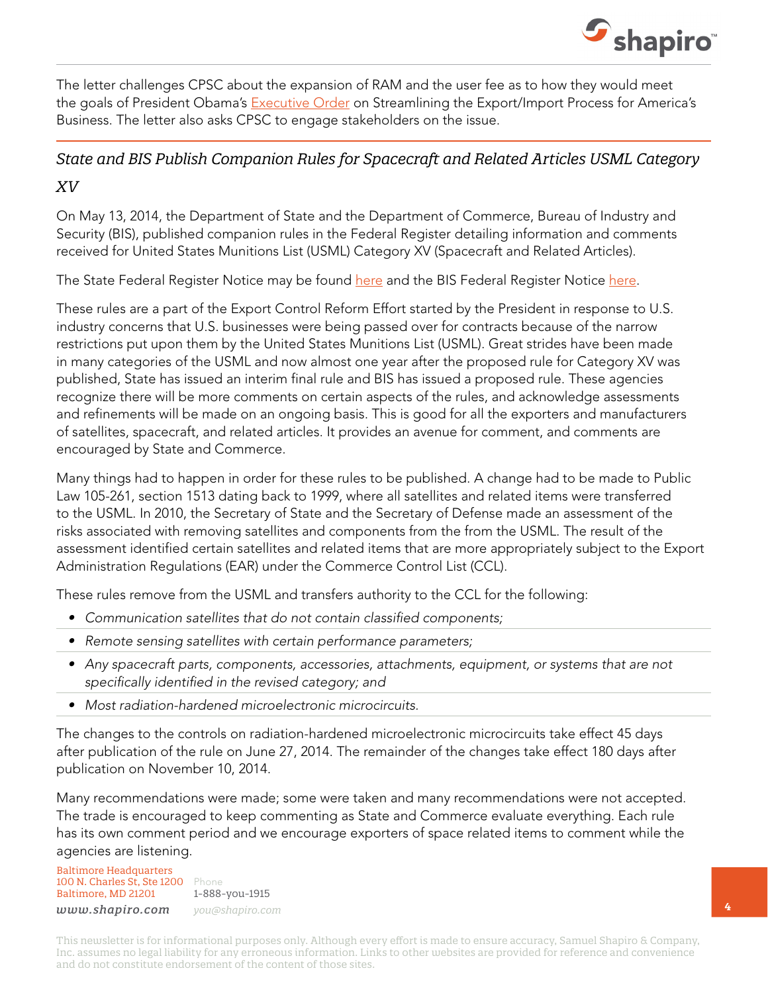

The letter challenges CPSC about the expansion of RAM and the user fee as to how they would meet the goals of President Obama's [Executive Order](http://www.whitehouse.gov/the-press-office/2014/02/19/executive-order-streamlining-exportimport-process-america-s-businesses) on Streamlining the Export/Import Process for America's Business. The letter also asks CPSC to engage stakeholders on the issue.

### *State and BIS Publish Companion Rules for Spacecraft and Related Articles USML Category*

#### *XV*

On May 13, 2014, the Department of State and the Department of Commerce, Bureau of Industry and Security (BIS), published companion rules in the Federal Register detailing information and comments received for United States Munitions List (USML) Category XV (Spacecraft and Related Articles).

The State Federal Register Notice may be found [here](http://www.gpo.gov/fdsys/pkg/FR-2014-05-13/pdf/2014-10806.pdf) and the BIS Federal Register Notice [here](http://www.gpo.gov/fdsys/pkg/FR-2014-05-13/pdf/2014-10807.pdf).

These rules are a part of the Export Control Reform Effort started by the President in response to U.S. industry concerns that U.S. businesses were being passed over for contracts because of the narrow restrictions put upon them by the United States Munitions List (USML). Great strides have been made in many categories of the USML and now almost one year after the proposed rule for Category XV was published, State has issued an interim final rule and BIS has issued a proposed rule. These agencies recognize there will be more comments on certain aspects of the rules, and acknowledge assessments and refinements will be made on an ongoing basis. This is good for all the exporters and manufacturers of satellites, spacecraft, and related articles. It provides an avenue for comment, and comments are encouraged by State and Commerce.

Many things had to happen in order for these rules to be published. A change had to be made to Public Law 105-261, section 1513 dating back to 1999, where all satellites and related items were transferred to the USML. In 2010, the Secretary of State and the Secretary of Defense made an assessment of the risks associated with removing satellites and components from the from the USML. The result of the assessment identified certain satellites and related items that are more appropriately subject to the Export Administration Regulations (EAR) under the Commerce Control List (CCL).

These rules remove from the USML and transfers authority to the CCL for the following:

- Communication satellites that do not contain classified components;
- Remote sensing satellites with certain performance parameters;
- Any spacecraft parts, components, accessories, attachments, equipment, or systems that are not specifically identified in the revised category; and
- Most radiation-hardened microelectronic microcircuits.

The changes to the controls on radiation-hardened microelectronic microcircuits take effect 45 days after publication of the rule on June 27, 2014. The remainder of the changes take effect 180 days after publication on November 10, 2014.

Many recommendations were made; some were taken and many recommendations were not accepted. The trade is encouraged to keep commenting as State and Commerce evaluate everything. Each rule has its own comment period and we encourage exporters of space related items to comment while the agencies are listening.

Baltimore Headquarters 100 N. Charles St, Ste 1200 Phone Baltimore, MD 21201 *www.shapiro.com you@shapiro.com*

1-888-you-1915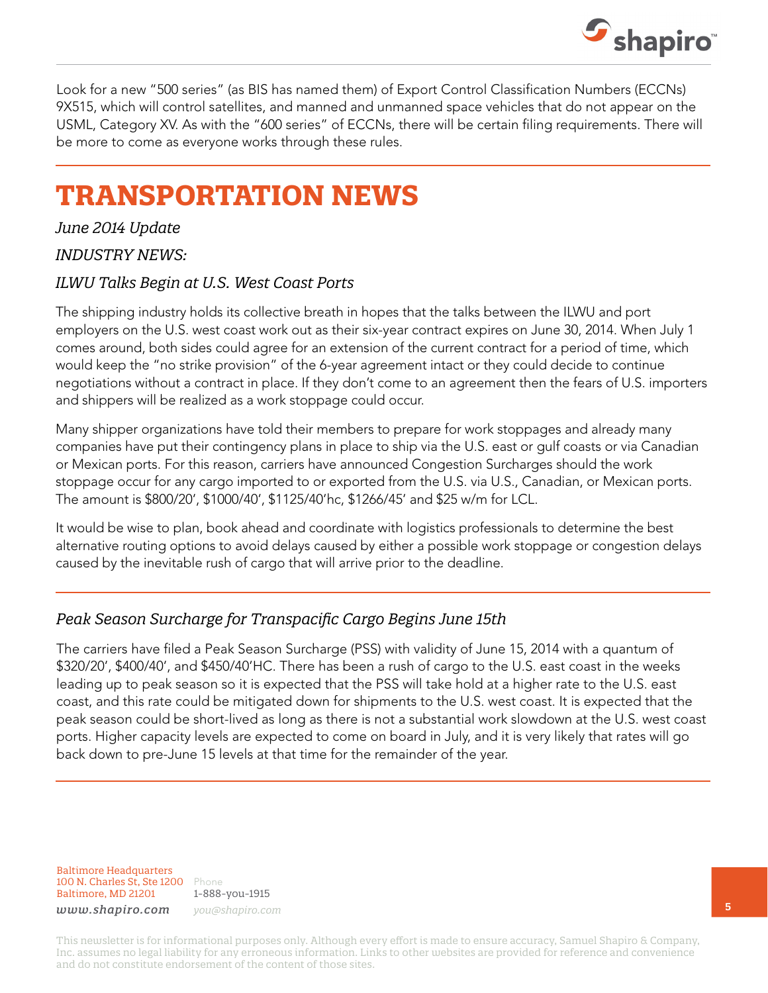

Look for a new "500 series" (as BIS has named them) of Export Control Classification Numbers (ECCNs) 9X515, which will control satellites, and manned and unmanned space vehicles that do not appear on the USML, Category XV. As with the "600 series" of ECCNs, there will be certain filing requirements. There will be more to come as everyone works through these rules.

# **TRANSPORTATION NEWS**

*June 2014 Update* 

#### *INDUSTRY NEWS:*

#### *ILWU Talks Begin at U.S. West Coast Ports*

The shipping industry holds its collective breath in hopes that the talks between the ILWU and port employers on the U.S. west coast work out as their six-year contract expires on June 30, 2014. When July 1 comes around, both sides could agree for an extension of the current contract for a period of time, which would keep the "no strike provision" of the 6-year agreement intact or they could decide to continue negotiations without a contract in place. If they don't come to an agreement then the fears of U.S. importers and shippers will be realized as a work stoppage could occur.

Many shipper organizations have told their members to prepare for work stoppages and already many companies have put their contingency plans in place to ship via the U.S. east or gulf coasts or via Canadian or Mexican ports. For this reason, carriers have announced Congestion Surcharges should the work stoppage occur for any cargo imported to or exported from the U.S. via U.S., Canadian, or Mexican ports. The amount is \$800/20', \$1000/40', \$1125/40'hc, \$1266/45' and \$25 w/m for LCL.

It would be wise to plan, book ahead and coordinate with logistics professionals to determine the best alternative routing options to avoid delays caused by either a possible work stoppage or congestion delays caused by the inevitable rush of cargo that will arrive prior to the deadline.

### *Peak Season Surcharge for Transpacific Cargo Begins June 15th*

The carriers have filed a Peak Season Surcharge (PSS) with validity of June 15, 2014 with a quantum of \$320/20', \$400/40', and \$450/40'HC. There has been a rush of cargo to the U.S. east coast in the weeks leading up to peak season so it is expected that the PSS will take hold at a higher rate to the U.S. east coast, and this rate could be mitigated down for shipments to the U.S. west coast. It is expected that the peak season could be short-lived as long as there is not a substantial work slowdown at the U.S. west coast ports. Higher capacity levels are expected to come on board in July, and it is very likely that rates will go back down to pre-June 15 levels at that time for the remainder of the year.

Baltimore Headquarters 100 N. Charles St, Ste 1200 Phone Baltimore, MD 21201

1-888-you-1915 *www.shapiro.com you@shapiro.com*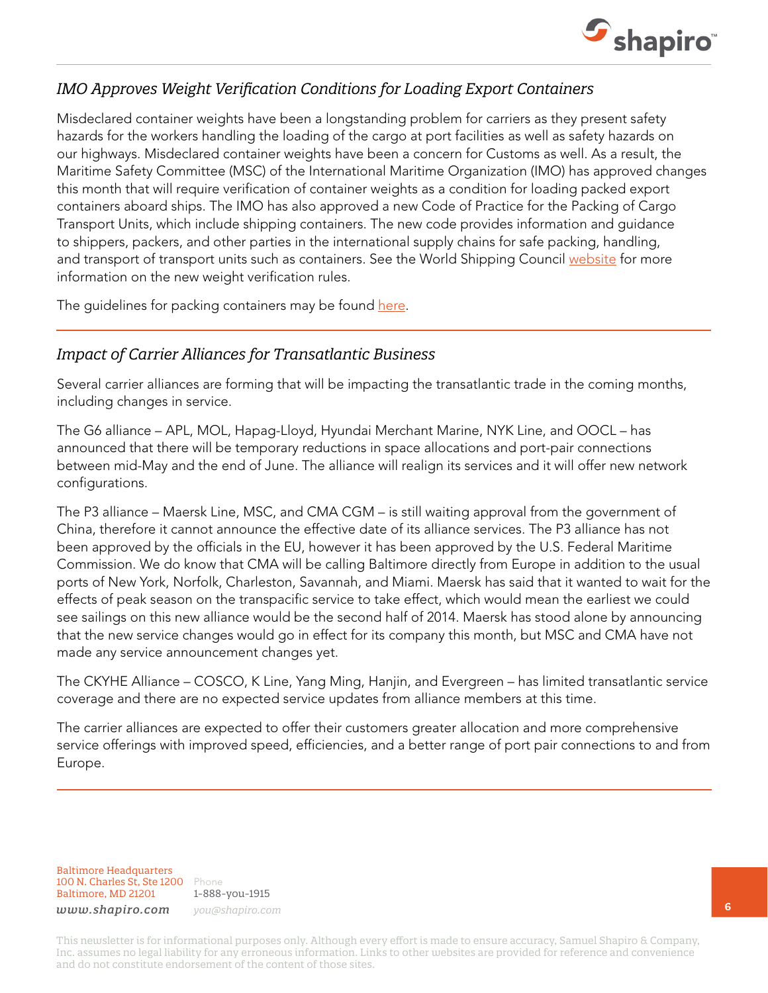

### *IMO Approves Weight Verification Conditions for Loading Export Containers*

Misdeclared container weights have been a longstanding problem for carriers as they present safety hazards for the workers handling the loading of the cargo at port facilities as well as safety hazards on our highways. Misdeclared container weights have been a concern for Customs as well. As a result, the Maritime Safety Committee (MSC) of the International Maritime Organization (IMO) has approved changes this month that will require verification of container weights as a condition for loading packed export containers aboard ships. The IMO has also approved a new Code of Practice for the Packing of Cargo Transport Units, which include shipping containers. The new code provides information and guidance to shippers, packers, and other parties in the international supply chains for safe packing, handling, and transport of transport units such as containers. See the World Shipping Council [website](http://www.worldshipping.org/industry-issues/safety/cargo-weight) for more information on the new weight verification rules.

The guidelines for packing containers may be found [here](http://www.unece.org/trans/wp24/guidelinespackingctus/intro.html).

### *Impact of Carrier Alliances for Transatlantic Business*

Several carrier alliances are forming that will be impacting the transatlantic trade in the coming months, including changes in service.

The G6 alliance – APL, MOL, Hapag-Lloyd, Hyundai Merchant Marine, NYK Line, and OOCL – has announced that there will be temporary reductions in space allocations and port-pair connections between mid-May and the end of June. The alliance will realign its services and it will offer new network configurations.

The P3 alliance – Maersk Line, MSC, and CMA CGM – is still waiting approval from the government of China, therefore it cannot announce the effective date of its alliance services. The P3 alliance has not been approved by the officials in the EU, however it has been approved by the U.S. Federal Maritime Commission. We do know that CMA will be calling Baltimore directly from Europe in addition to the usual ports of New York, Norfolk, Charleston, Savannah, and Miami. Maersk has said that it wanted to wait for the effects of peak season on the transpacific service to take effect, which would mean the earliest we could see sailings on this new alliance would be the second half of 2014. Maersk has stood alone by announcing that the new service changes would go in effect for its company this month, but MSC and CMA have not made any service announcement changes yet.

The CKYHE Alliance – COSCO, K Line, Yang Ming, Hanjin, and Evergreen – has limited transatlantic service coverage and there are no expected service updates from alliance members at this time.

The carrier alliances are expected to offer their customers greater allocation and more comprehensive service offerings with improved speed, efficiencies, and a better range of port pair connections to and from Europe.

Baltimore Headquarters 100 N. Charles St, Ste 1200 Phone Baltimore, MD 21201

1-888-you-1915 *www.shapiro.com you@shapiro.com*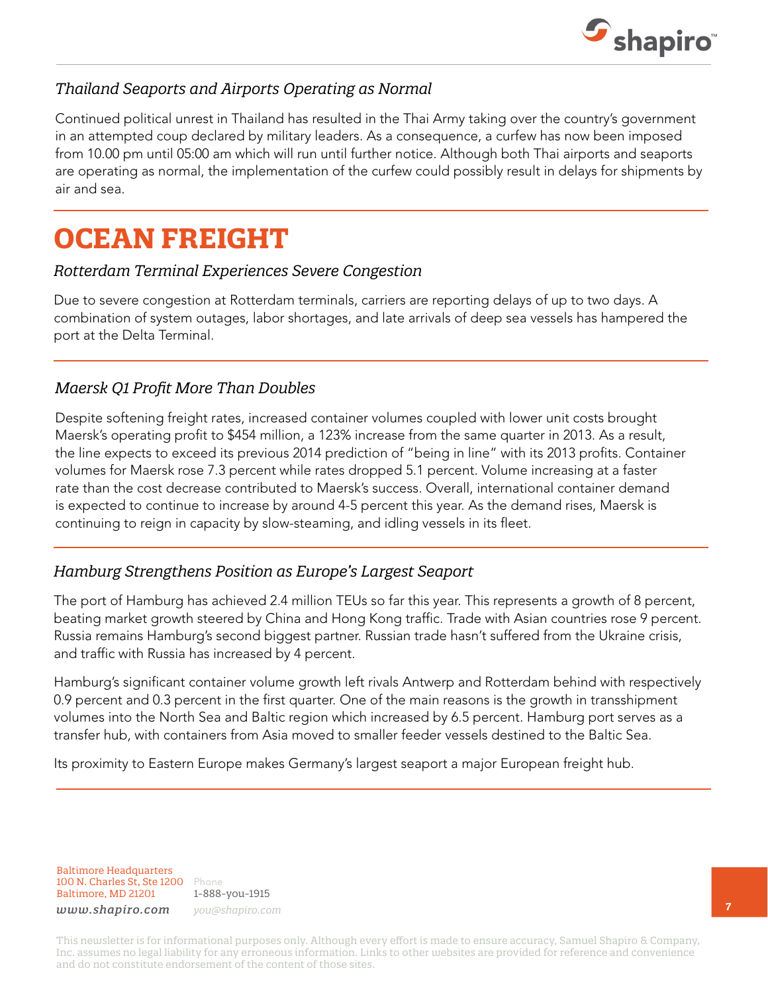

### *Thailand Seaports and Airports Operating as Normal*

Continued political unrest in Thailand has resulted in the Thai Army taking over the country's government in an attempted coup declared by military leaders. As a consequence, a curfew has now been imposed from 10.00 pm until 05:00 am which will run until further notice. Although both Thai airports and seaports are operating as normal, the implementation of the curfew could possibly result in delays for shipments by air and sea.

# **OCEAN FREIGHT**

#### *Rotterdam Terminal Experiences Severe Congestion*

Due to severe congestion at Rotterdam terminals, carriers are reporting delays of up to two days. A combination of system outages, labor shortages, and late arrivals of deep sea vessels has hampered the port at the Delta Terminal.

#### *Maersk Q1 Profit More Than Doubles*

Despite softening freight rates, increased container volumes coupled with lower unit costs brought Maersk's operating profit to \$454 million, a 123% increase from the same quarter in 2013. As a result, the line expects to exceed its previous 2014 prediction of "being in line" with its 2013 profits. Container volumes for Maersk rose 7.3 percent while rates dropped 5.1 percent. Volume increasing at a faster rate than the cost decrease contributed to Maersk's success. Overall, international container demand is expected to continue to increase by around 4-5 percent this year. As the demand rises, Maersk is continuing to reign in capacity by slow-steaming, and idling vessels in its fleet.

#### *Hamburg Strengthens Position as Europe's Largest Seaport*

The port of Hamburg has achieved 2.4 million TEUs so far this year. This represents a growth of 8 percent, beating market growth steered by China and Hong Kong traffic. Trade with Asian countries rose 9 percent. Russia remains Hamburg's second biggest partner. Russian trade hasn't suffered from the Ukraine crisis, and traffic with Russia has increased by 4 percent.

Hamburg's significant container volume growth left rivals Antwerp and Rotterdam behind with respectively 0.9 percent and 0.3 percent in the first quarter. One of the main reasons is the growth in transshipment volumes into the North Sea and Baltic region which increased by 6.5 percent. Hamburg port serves as a transfer hub, with containers from Asia moved to smaller feeder vessels destined to the Baltic Sea.

Its proximity to Eastern Europe makes Germany's largest seaport a major European freight hub.

Baltimore Headquarters 100 N. Charles St, Ste 1200 Phone Baltimore, MD 21201

1-888-you-1915 *www.shapiro.com you@shapiro.com*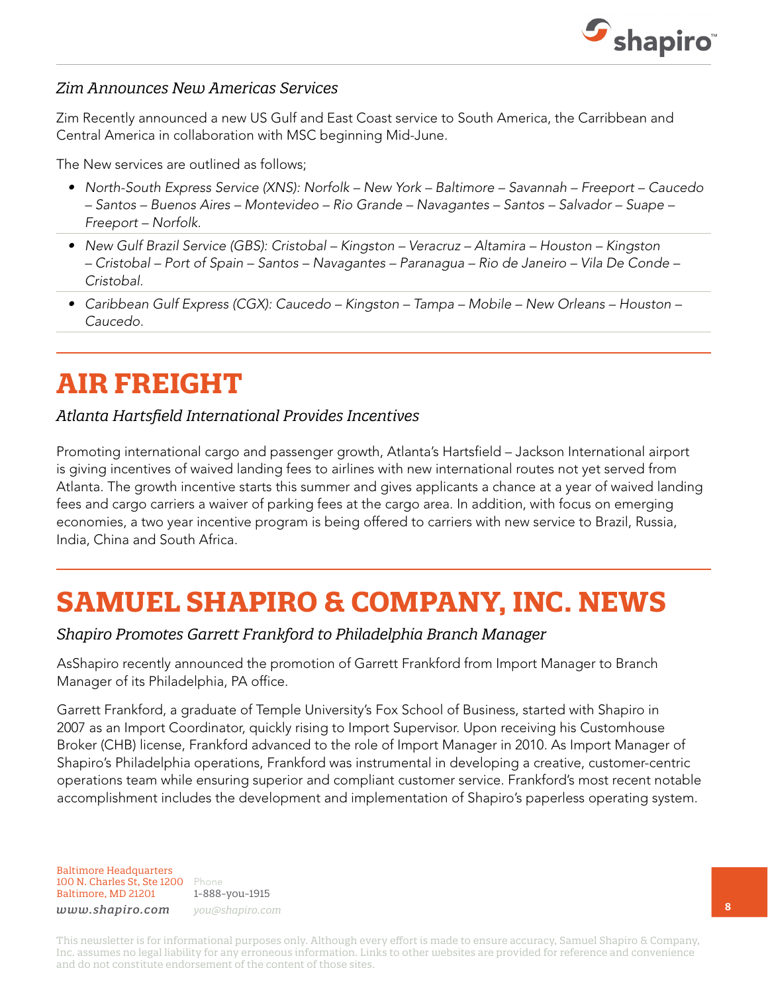

#### *Zim Announces New Americas Services*

Zim Recently announced a new US Gulf and East Coast service to South America, the Carribbean and Central America in collaboration with MSC beginning Mid-June.

The New services are outlined as follows;

- • North-South Express Service (XNS): Norfolk New York Baltimore Savannah Freeport Caucedo – Santos – Buenos Aires – Montevideo – Rio Grande – Navagantes – Santos – Salvador – Suape – Freeport – Norfolk.
- • New Gulf Brazil Service (GBS): Cristobal Kingston Veracruz Altamira Houston Kingston – Cristobal – Port of Spain – Santos – Navagantes – Paranagua – Rio de Janeiro – Vila De Conde – Cristobal.
- • Caribbean Gulf Express (CGX): Caucedo Kingston Tampa Mobile New Orleans Houston Caucedo.

# **AIR FREIGHT**

#### *Atlanta Hartsfield International Provides Incentives*

Promoting international cargo and passenger growth, Atlanta's Hartsfield – Jackson International airport is giving incentives of waived landing fees to airlines with new international routes not yet served from Atlanta. The growth incentive starts this summer and gives applicants a chance at a year of waived landing fees and cargo carriers a waiver of parking fees at the cargo area. In addition, with focus on emerging economies, a two year incentive program is being offered to carriers with new service to Brazil, Russia, India, China and South Africa.

# **SAMUEL SHAPIRO & COMPANY, INC. NEWS**

### *Shapiro Promotes Garrett Frankford to Philadelphia Branch Manager*

AsShapiro recently announced the promotion of Garrett Frankford from Import Manager to Branch Manager of its Philadelphia, PA office.

Garrett Frankford, a graduate of Temple University's Fox School of Business, started with Shapiro in 2007 as an Import Coordinator, quickly rising to Import Supervisor. Upon receiving his Customhouse Broker (CHB) license, Frankford advanced to the role of Import Manager in 2010. As Import Manager of Shapiro's Philadelphia operations, Frankford was instrumental in developing a creative, customer-centric operations team while ensuring superior and compliant customer service. Frankford's most recent notable accomplishment includes the development and implementation of Shapiro's paperless operating system.

Baltimore Headquarters 100 N. Charles St, Ste 1200 Phone Baltimore, MD 21201

1-888-you-1915 *www.shapiro.com you@shapiro.com*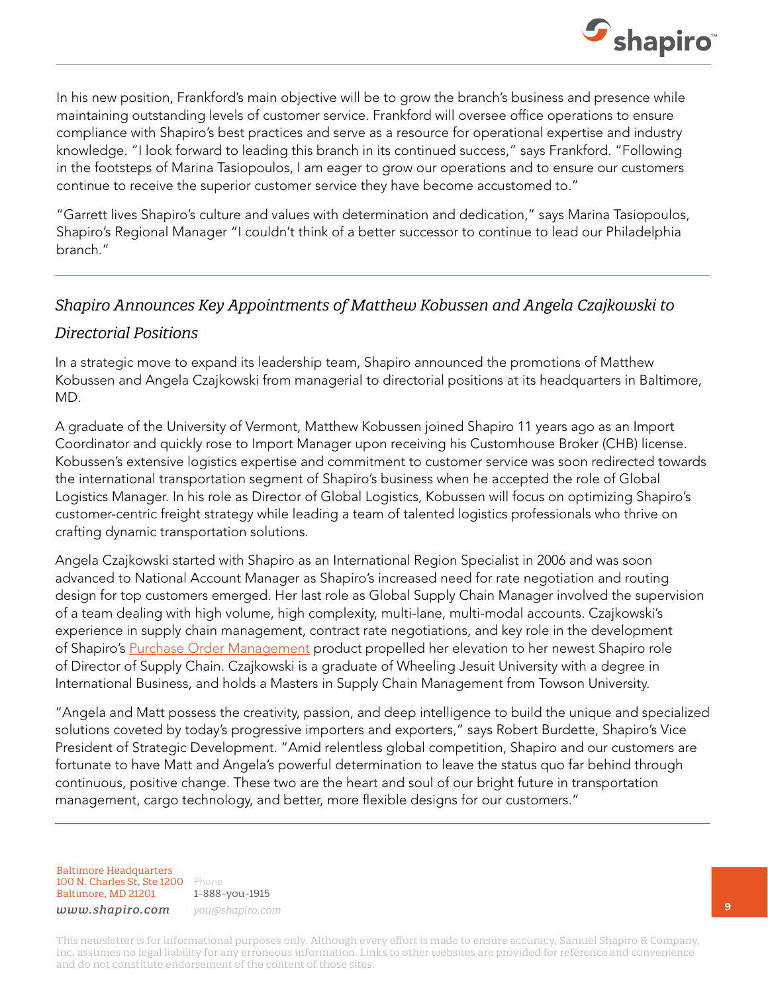

In his new position, Frankford's main objective will be to grow the branch's business and presence while maintaining outstanding levels of customer service. Frankford will oversee office operations to ensure compliance with Shapiro's best practices and serve as a resource for operational expertise and industry knowledge. "I look forward to leading this branch in its continued success," says Frankford. "Following in the footsteps of Marina Tasiopoulos, I am eager to grow our operations and to ensure our customers continue to receive the superior customer service they have become accustomed to."

"Garrett lives Shapiro's culture and values with determination and dedication," says Marina Tasiopoulos, Shapiro's Regional Manager "I couldn't think of a better successor to continue to lead our Philadelphia branch."

#### *Shapiro Announces Key Appointments of Matthew Kobussen and Angela Czajkowski to*

#### *Directorial Positions*

In a strategic move to expand its leadership team, Shapiro announced the promotions of Matthew Kobussen and Angela Czajkowski from managerial to directorial positions at its headquarters in Baltimore, MD.

A graduate of the University of Vermont, Matthew Kobussen joined Shapiro 11 years ago as an Import Coordinator and quickly rose to Import Manager upon receiving his Customhouse Broker (CHB) license. Kobussen's extensive logistics expertise and commitment to customer service was soon redirected towards the international transportation segment of Shapiro's business when he accepted the role of Global Logistics Manager. In his role as Director of Global Logistics, Kobussen will focus on optimizing Shapiro's customer-centric freight strategy while leading a team of talented logistics professionals who thrive on crafting dynamic transportation solutions.

Angela Czajkowski started with Shapiro as an International Region Specialist in 2006 and was soon advanced to National Account Manager as Shapiro's increased need for rate negotiation and routing design for top customers emerged. Her last role as Global Supply Chain Manager involved the supervision of a team dealing with high volume, high complexity, multi-lane, multi-modal accounts. Czajkowski's experience in supply chain management, contract rate negotiations, and key role in the development of Shapiro's [Purchase Order Management](http://www.shapiro.com/supply-chain/po-management/) product propelled her elevation to her newest Shapiro role of Director of Supply Chain. Czajkowski is a graduate of Wheeling Jesuit University with a degree in International Business, and holds a Masters in Supply Chain Management from Towson University.

"Angela and Matt possess the creativity, passion, and deep intelligence to build the unique and specialized solutions coveted by today's progressive importers and exporters," says Robert Burdette, Shapiro's Vice President of Strategic Development. "Amid relentless global competition, Shapiro and our customers are fortunate to have Matt and Angela's powerful determination to leave the status quo far behind through continuous, positive change. These two are the heart and soul of our bright future in transportation management, cargo technology, and better, more flexible designs for our customers."

Baltimore Headquarters 100 N. Charles St, Ste 1200 Phone Baltimore, MD 21201

1-888-you-1915 *www.shapiro.com you@shapiro.com*